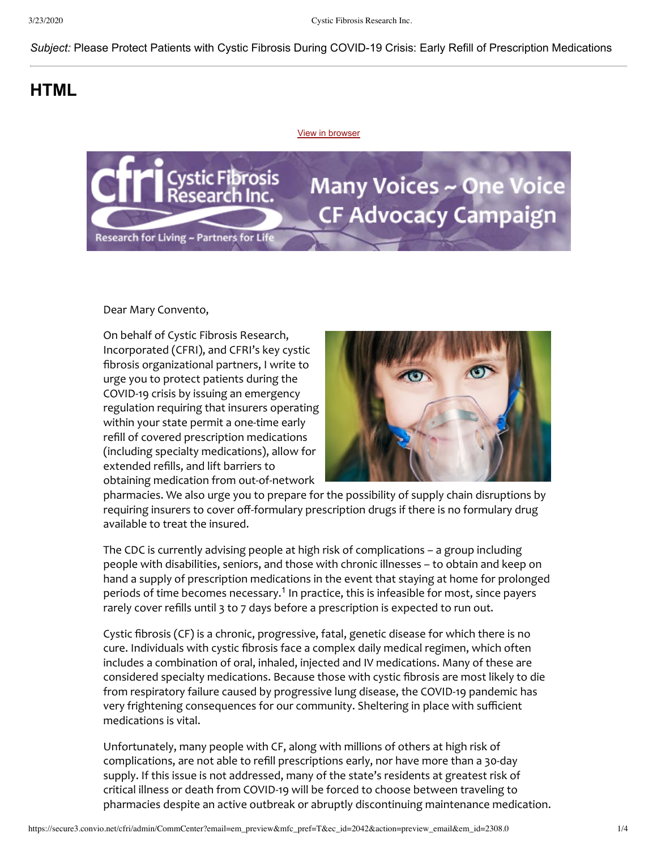## *Subject:* Please Protect Patients with Cystic Fibrosis During COVID-19 Crisis: Early Refill of Prescription Medications

## **HTML**

[View in browser](http://cfri.convio.net/site/MessageViewer)



Dear Mary Convento,

On behalf of Cystic Fibrosis Research, Incorporated (CFRI), and CFRI's key cystic fibrosis organizational partners, I write to urge you to protect patients during the COVID-19 crisis by issuing an emergency regulation requiring that insurers operating within your state permit a one-time early refill of covered prescription medications (including specialty medications), allow for extended refills, and lift barriers to obtaining medication from out-of-network



pharmacies. We also urge you to prepare for the possibility of supply chain disruptions by requiring insurers to cover off-formulary prescription drugs if there is no formulary drug available to treat the insured.

The CDC is currently advising people at high risk of complications – a group including people with disabilities, seniors, and those with chronic illnesses – to obtain and keep on hand a supply of prescription medications in the event that staying at home for prolonged periods of time becomes necessary.<sup>1</sup> In practice, this is infeasible for most, since payers rarely cover refills until 3 to 7 days before a prescription is expected to run out.

Cystic fibrosis (CF) is a chronic, progressive, fatal, genetic disease for which there is no cure. Individuals with cystic fibrosis face a complex daily medical regimen, which often includes a combination of oral, inhaled, injected and IV medications. Many of these are considered specialty medications. Because those with cystic fibrosis are most likely to die from respiratory failure caused by progressive lung disease, the COVID-19 pandemic has very frightening consequences for our community. Sheltering in place with sufficient medications is vital.

Unfortunately, many people with CF, along with millions of others at high risk of complications, are not able to refill prescriptions early, nor have more than a 30-day supply. If this issue is not addressed, many of the state's residents at greatest risk of critical illness or death from COVID-19 will be forced to choose between traveling to pharmacies despite an active outbreak or abruptly discontinuing maintenance medication.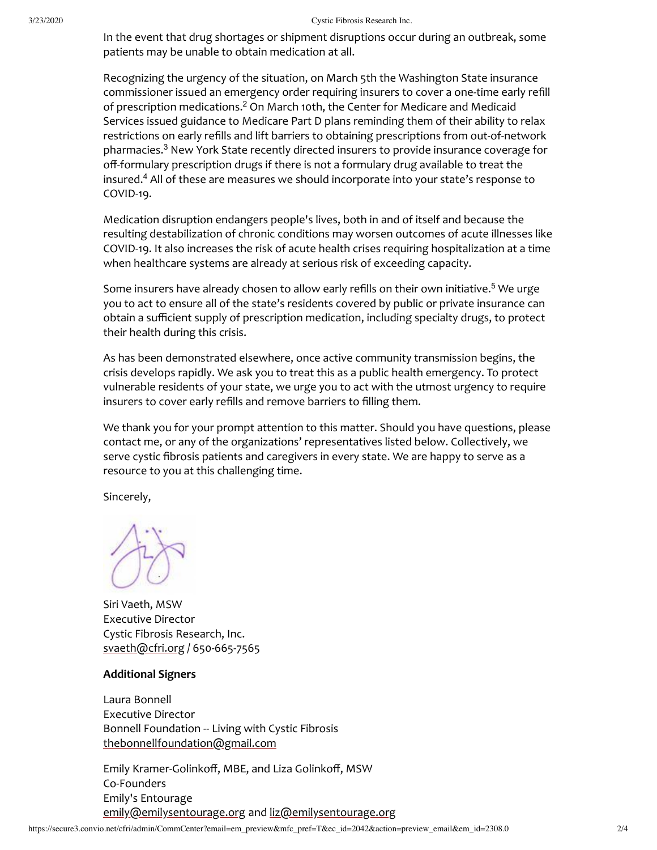In the event that drug shortages or shipment disruptions occur during an outbreak, some patients may be unable to obtain medication at all.

Recognizing the urgency of the situation, on March 5th the Washington State insurance commissioner issued an emergency order requiring insurers to cover a one-time early refill of prescription medications.<sup>2</sup> On March 10th, the Center for Medicare and Medicaid Services issued guidance to Medicare Part D plans reminding them of their ability to relax restrictions on early refills and lift barriers to obtaining prescriptions from out-of-network pharmacies. <sup>3</sup> New York State recently directed insurers to provide insurance coverage for off-formulary prescription drugs if there is not a formulary drug available to treat the insured. <sup>4</sup> All of these are measures we should incorporate into your state's response to COVID-19.

Medication disruption endangers people's lives, both in and of itself and because the resulting destabilization of chronic conditions may worsen outcomes of acute illnesses like COVID-19. It also increases the risk of acute health crises requiring hospitalization at a time when healthcare systems are already at serious risk of exceeding capacity.

Some insurers have already chosen to allow early refills on their own initiative.<sup>5</sup> We urge you to act to ensure all of the state's residents covered by public or private insurance can obtain a sufficient supply of prescription medication, including specialty drugs, to protect their health during this crisis.

As has been demonstrated elsewhere, once active community transmission begins, the crisis develops rapidly. We ask you to treat this as a public health emergency. To protect vulnerable residents of your state, we urge you to act with the utmost urgency to require insurers to cover early refills and remove barriers to filling them.

We thank you for your prompt attention to this matter. Should you have questions, please contact me, or any of the organizations' representatives listed below. Collectively, we serve cystic fibrosis patients and caregivers in every state. We are happy to serve as a resource to you at this challenging time.

Sincerely,

Siri Vaeth, MSW Executive Director Cystic Fibrosis Research, Inc. [svaeth@cfri.org](mailto:svaeth@cfri.org?) / 650-665-7565

## **Additional Signers**

Laura Bonnell Executive Director Bonnell Foundation -- Living with Cystic Fibrosis [thebonnellfoundation@gmail.com](mailto:thebonnellfoundation@gmail.com)

Emily Kramer-Golinkoff, MBE, and Liza Golinkoff, MSW Co-Founders Emily's Entourage [emily@emilysentourage.org](mailto:emily@emilysentourage.org) and [liz@emilysentourage.org](mailto:liz@emilysentourage.org)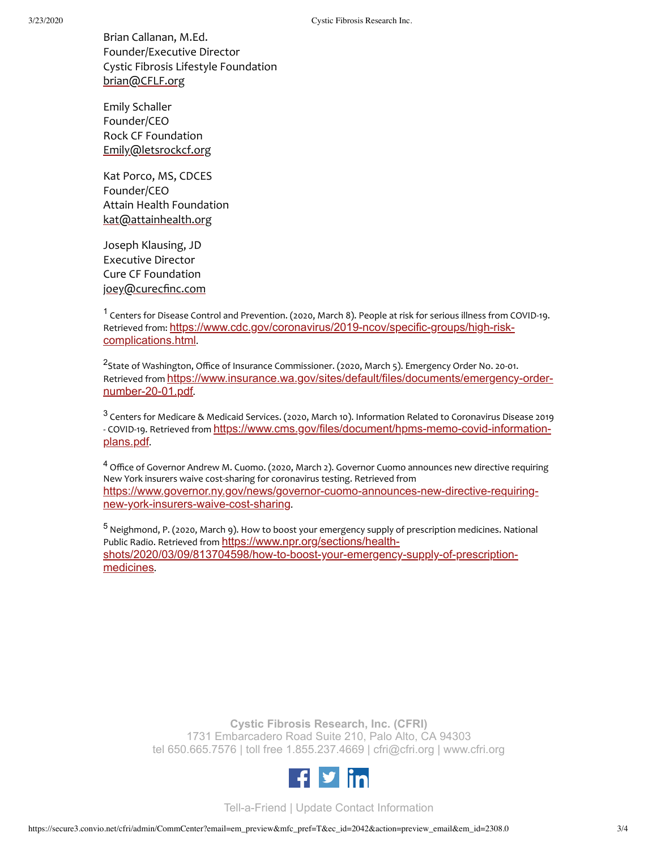Brian Callanan, M.Ed. Founder/Executive Director Cystic Fibrosis Lifestyle Foundation [brian@CFLF.org](mailto:brian@CFLF.org)

Emily Schaller Founder/CEO Rock CF Foundation [Emily@letsrockcf.org](mailto:Emily@letsrockcf.org)

Kat Porco, MS, CDCES Founder/CEO Attain Health Foundation [kat@attainhealth.org](mailto:kat@attainhealth.org)

Joseph Klausing, JD Executive Director Cure CF Foundation [joey@curecfinc.com](mailto:joey@curecfinc.com)

<sup>1</sup> Centers for Disease Control and Prevention. (2020, March 8). People at risk for serious illness from COVID-19. Retrieved from: [https://www.cdc.gov/coronavirus/2019-ncov/specific-groups/high-risk](https://www.cdc.gov/coronavirus/2019-ncov/specific-groups/high-risk-complications.html)complications.html.

<sup>2</sup>State of Washington, Office of Insurance Commissioner. (2020, March 5). Emergency Order No. 20-01. Retrieved from [https://www.insurance.wa.gov/sites/default/files/documents/emergency-order](https://www.insurance.wa.gov/sites/default/files/documents/emergency-order-number-20-01.pdf)number-20-01.pdf.

 $^3$  Centers for Medicare & Medicaid Services. (2020, March 10). Information Related to Coronavirus Disease 2019 - COVID-19. Retrieved from [https://www.cms.gov/files/document/hpms-memo-covid-information](https://www.cms.gov/files/document/hpms-memo-covid-information-plans.pdf)plans.pdf.

<sup>4</sup> Office of Governor Andrew M. Cuomo. (2020, March 2). Governor Cuomo announces new directive requiring New York insurers waive cost-sharing for coronavirus testing. Retrieved from [https://www.governor.ny.gov/news/governor-cuomo-announces-new-directive-requiring](https://www.governor.ny.gov/news/governor-cuomo-announces-new-directive-requiring-new-york-insurers-waive-cost-sharing)new-york-insurers-waive-cost-sharing.

5 Neighmond, P. (2020, March 9). How to boost your emergency supply of prescription medicines. National Public Radio. Retrieved from https://www.npr.org/sections/health[shots/2020/03/09/813704598/how-to-boost-your-emergency-supply-of-prescription](https://www.npr.org/sections/health-shots/2020/03/09/813704598/how-to-boost-your-emergency-supply-of-prescription-medicines)medicines.

> **Cystic Fibrosis Research, Inc. (CFRI)** 1731 Embarcadero Road Suite 210, Palo Alto, CA 94303 tel 650.665.7576 | toll free 1.855.237.4669 | [cfri@cfri.org](mailto:cfri@cfri.org) | [www.cfri.org](http://www.cfri.org/)



[Tell-a-Friend](http://cfri.convio.net/site/TellAFriend) | [Update Contact Information](http://cfri.convio.net/site/ConsProfileUser?dispMode=edit)